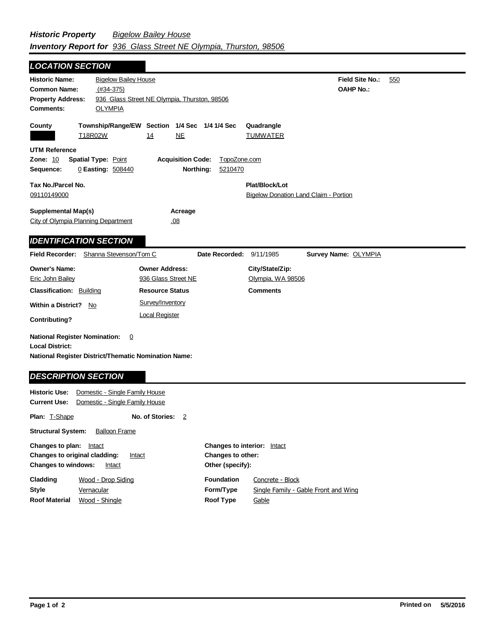**Field Site No.:** 550 **OAHP No.: Historic Name:** Bigelow Bailey House **Common Name:** (#34-375) **County Plat/Block/Lot** Bigelow Donation Land Claim - Portion **Acreage** .08 **Supplemental Map(s)** City of Olympia Planning Department **Tax No./Parcel No.** 09110149000 Property Address: 936 Glass Street NE Olympia, Thurston, 98506 *LOCATION SECTION* **Comments:** OLYMPIA **Quadrangle UTM Reference Township/Range/EW Section 1/4 Sec 1/4 1/4 Sec Owner Address:** 936 Glass Street NE **Field Recorder:** Shanna Stevenson/Tom C **Owner's Name:** Eric John Bailey **City/State/Zip:** Olympia, WA 98506 **National Register District/Thematic Nomination Name: Local District: Date Recorded:** 9/11/1985 **Classification:** Building **Within a District?** No **Contributing? Comments National Register Nomination:** 0 **Plan:** T-Shape **Historic Use:** Domestic - Single Family House **Current Use:** Domestic - Single Family House **No. of Stories:** 2 **Resource Status Survey Name:** OLYMPIA *IDENTIFICATION SECTION DESCRIPTION SECTION* T18R02W 14 NE TUMWATER **Zone:** 10 **Spatial Type:** Point **Acquisition Code:** TopoZone.com **Sequence:** 0 **Easting:** 508440 **Northing:** 5210470 Survey/Inventory Local Register

**Structural System:** Balloon Frame

| Changes to plan:<br>Intact<br><b>Changes to original cladding:</b><br>Intact<br><b>Changes to windows:</b><br>Intact |                | <b>Changes to interior:</b> Intact<br>Changes to other: |                                      |                   |
|----------------------------------------------------------------------------------------------------------------------|----------------|---------------------------------------------------------|--------------------------------------|-------------------|
|                                                                                                                      |                |                                                         |                                      | Other (specify):  |
|                                                                                                                      |                | Cladding                                                | Wood - Drop Siding                   | <b>Foundation</b> |
| <b>Style</b>                                                                                                         | Vernacular     | Form/Type                                               | Single Family - Gable Front and Wing |                   |
| <b>Roof Material</b>                                                                                                 | Wood - Shingle | <b>Roof Type</b>                                        | Gable                                |                   |
|                                                                                                                      |                |                                                         |                                      |                   |